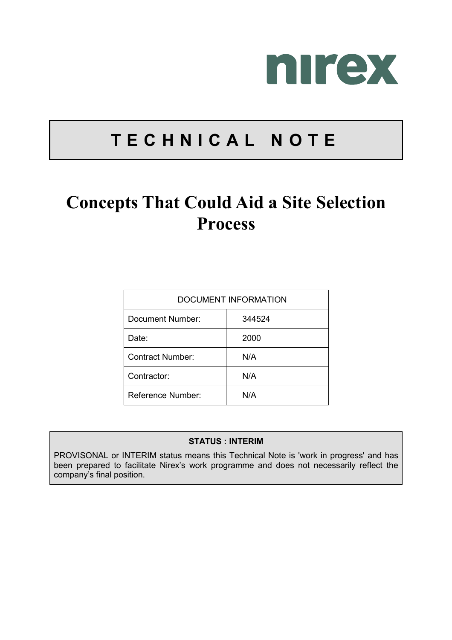

# **TECHNICAL NOTE**

# **Concepts That Could Aid a Site Selection Process**

| DOCUMENT INFORMATION |        |  |
|----------------------|--------|--|
| Document Number:     | 344524 |  |
| Date:                | 2000   |  |
| Contract Number:     | N/A    |  |
| Contractor:          | N/A    |  |
| Reference Number:    | N/A    |  |

#### **STATUS : INTERIM**

PROVISONAL or INTERIM status means this Technical Note is 'work in progress' and has been prepared to facilitate Nirex's work programme and does not necessarily reflect the company's final position.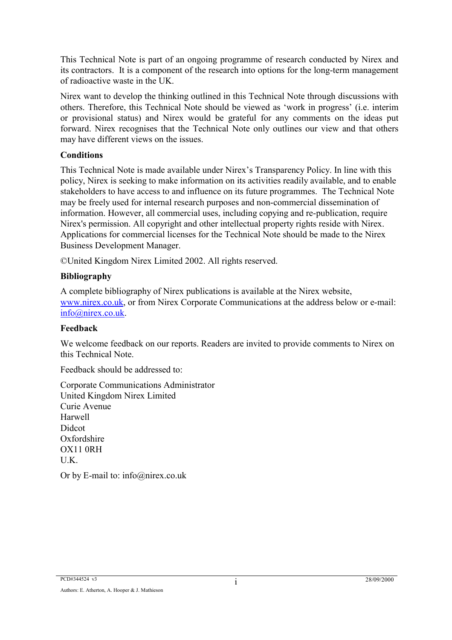This Technical Note is part of an ongoing programme of research conducted by Nirex and its contractors. It is a component of the research into options for the long-term management of radioactive waste in the UK.

Nirex want to develop the thinking outlined in this Technical Note through discussions with others. Therefore, this Technical Note should be viewed as 'work in progress' (i.e. interim or provisional status) and Nirex would be grateful for any comments on the ideas put forward. Nirex recognises that the Technical Note only outlines our view and that others may have different views on the issues.

#### **Conditions**

This Technical Note is made available under Nirex's Transparency Policy. In line with this policy, Nirex is seeking to make information on its activities readily available, and to enable stakeholders to have access to and influence on its future programmes. The Technical Note may be freely used for internal research purposes and non-commercial dissemination of information. However, all commercial uses, including copying and re-publication, require Nirex's permission. All copyright and other intellectual property rights reside with Nirex. Applications for commercial licenses for the Technical Note should be made to the Nirex Business Development Manager.

©United Kingdom Nirex Limited 2002. All rights reserved.

#### **Bibliography**

A complete bibliography of Nirex publications is available at the Nirex website, www.nirex.co.uk, or from Nirex Corporate Communications at the address below or e-mail: info@nirex.co.uk.

#### **Feedback**

We welcome feedback on our reports. Readers are invited to provide comments to Nirex on this Technical Note.

Feedback should be addressed to:

Corporate Communications Administrator United Kingdom Nirex Limited Curie Avenue Harwell Didcot Oxfordshire OX11 0RH U.K. Or by E-mail to: info@nirex.co.uk

PCD#344524 v3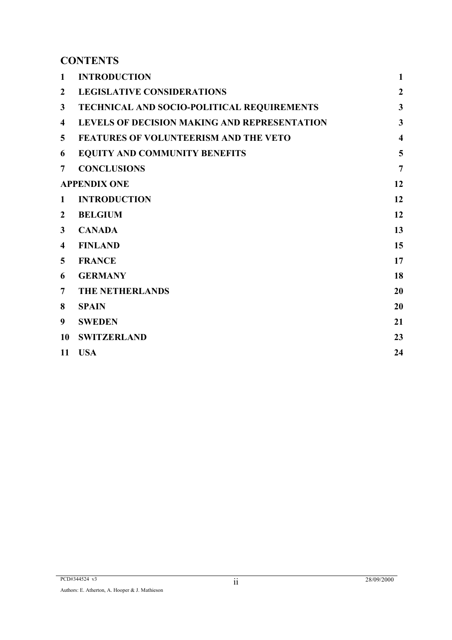# **CONTENTS**

| $\mathbf{1}$   | <b>INTRODUCTION</b>                          | $\mathbf{1}$            |
|----------------|----------------------------------------------|-------------------------|
| $\overline{2}$ | <b>LEGISLATIVE CONSIDERATIONS</b>            | $\overline{2}$          |
| $\mathbf{3}$   | TECHNICAL AND SOCIO-POLITICAL REQUIREMENTS   | $\mathbf{3}$            |
| 4              | LEVELS OF DECISION MAKING AND REPRESENTATION | $\overline{\mathbf{3}}$ |
| 5              | <b>FEATURES OF VOLUNTEERISM AND THE VETO</b> | $\overline{\mathbf{4}}$ |
| 6              | <b>EQUITY AND COMMUNITY BENEFITS</b>         | 5                       |
| $\overline{7}$ | <b>CONCLUSIONS</b>                           | $\overline{7}$          |
|                | <b>APPENDIX ONE</b>                          | 12                      |
| $\mathbf{1}$   | <b>INTRODUCTION</b>                          | 12                      |
| $\overline{2}$ | <b>BELGIUM</b>                               | 12                      |
| $\mathbf{3}$   | <b>CANADA</b>                                | 13                      |
| 4              | <b>FINLAND</b>                               | 15                      |
| 5              | <b>FRANCE</b>                                | 17                      |
| 6              | <b>GERMANY</b>                               | 18                      |
| $\overline{7}$ | <b>THE NETHERLANDS</b>                       | 20                      |
| 8              | <b>SPAIN</b>                                 | 20                      |
| 9 <sup>°</sup> | <b>SWEDEN</b>                                | 21                      |
| 10             | <b>SWITZERLAND</b>                           | 23                      |
| 11             | <b>USA</b>                                   | 24                      |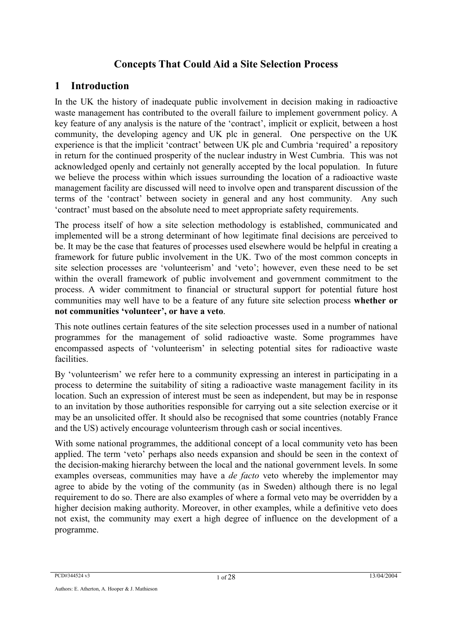# **Concepts That Could Aid a Site Selection Process**

# **1 Introduction**

In the UK the history of inadequate public involvement in decision making in radioactive waste management has contributed to the overall failure to implement government policy. A key feature of any analysis is the nature of the 'contract', implicit or explicit, between a host community, the developing agency and UK plc in general. One perspective on the UK experience is that the implicit 'contract' between UK plc and Cumbria 'required' a repository in return for the continued prosperity of the nuclear industry in West Cumbria. This was not acknowledged openly and certainly not generally accepted by the local population. In future we believe the process within which issues surrounding the location of a radioactive waste management facility are discussed will need to involve open and transparent discussion of the terms of the 'contract' between society in general and any host community. Any such 'contract' must based on the absolute need to meet appropriate safety requirements.

The process itself of how a site selection methodology is established, communicated and implemented will be a strong determinant of how legitimate final decisions are perceived to be. It may be the case that features of processes used elsewhere would be helpful in creating a framework for future public involvement in the UK. Two of the most common concepts in site selection processes are 'volunteerism' and 'veto'; however, even these need to be set within the overall framework of public involvement and government commitment to the process. A wider commitment to financial or structural support for potential future host communities may well have to be a feature of any future site selection process **whether or not communities 'volunteer', or have a veto**.

This note outlines certain features of the site selection processes used in a number of national programmes for the management of solid radioactive waste. Some programmes have encompassed aspects of 'volunteerism' in selecting potential sites for radioactive waste facilities.

By 'volunteerism' we refer here to a community expressing an interest in participating in a process to determine the suitability of siting a radioactive waste management facility in its location. Such an expression of interest must be seen as independent, but may be in response to an invitation by those authorities responsible for carrying out a site selection exercise or it may be an unsolicited offer. It should also be recognised that some countries (notably France and the US) actively encourage volunteerism through cash or social incentives.

With some national programmes, the additional concept of a local community veto has been applied. The term 'veto' perhaps also needs expansion and should be seen in the context of the decision-making hierarchy between the local and the national government levels. In some examples overseas, communities may have a *de facto* veto whereby the implementor may agree to abide by the voting of the community (as in Sweden) although there is no legal requirement to do so. There are also examples of where a formal veto may be overridden by a higher decision making authority. Moreover, in other examples, while a definitive veto does not exist, the community may exert a high degree of influence on the development of a programme.

PCD#344524 v3 1 of 28 13/04/2004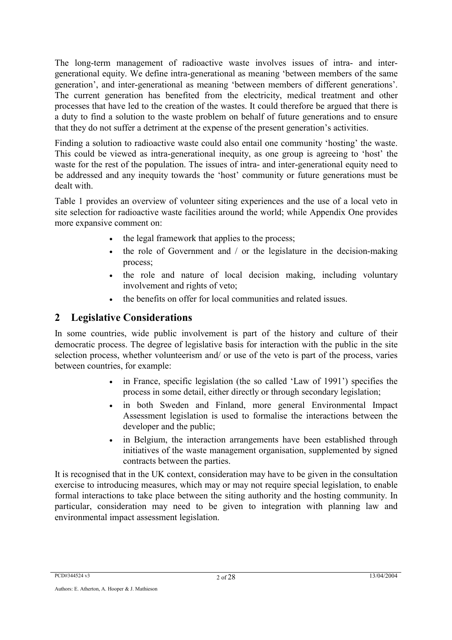The long-term management of radioactive waste involves issues of intra- and intergenerational equity. We define intra-generational as meaning 'between members of the same generation', and inter-generational as meaning 'between members of different generations'. The current generation has benefited from the electricity, medical treatment and other processes that have led to the creation of the wastes. It could therefore be argued that there is a duty to find a solution to the waste problem on behalf of future generations and to ensure that they do not suffer a detriment at the expense of the present generation's activities.

Finding a solution to radioactive waste could also entail one community 'hosting' the waste. This could be viewed as intra-generational inequity, as one group is agreeing to 'host' the waste for the rest of the population. The issues of intra- and inter-generational equity need to be addressed and any inequity towards the 'host' community or future generations must be dealt with.

Table 1 provides an overview of volunteer siting experiences and the use of a local veto in site selection for radioactive waste facilities around the world; while Appendix One provides more expansive comment on:

- the legal framework that applies to the process;
- the role of Government and / or the legislature in the decision-making process;
- the role and nature of local decision making, including voluntary involvement and rights of veto;
- the benefits on offer for local communities and related issues.

# **2 Legislative Considerations**

In some countries, wide public involvement is part of the history and culture of their democratic process. The degree of legislative basis for interaction with the public in the site selection process, whether volunteerism and/ or use of the veto is part of the process, varies between countries, for example:

- in France, specific legislation (the so called 'Law of 1991') specifies the process in some detail, either directly or through secondary legislation;
- in both Sweden and Finland, more general Environmental Impact Assessment legislation is used to formalise the interactions between the developer and the public;
- in Belgium, the interaction arrangements have been established through initiatives of the waste management organisation, supplemented by signed contracts between the parties.

It is recognised that in the UK context, consideration may have to be given in the consultation exercise to introducing measures, which may or may not require special legislation, to enable formal interactions to take place between the siting authority and the hosting community. In particular, consideration may need to be given to integration with planning law and environmental impact assessment legislation.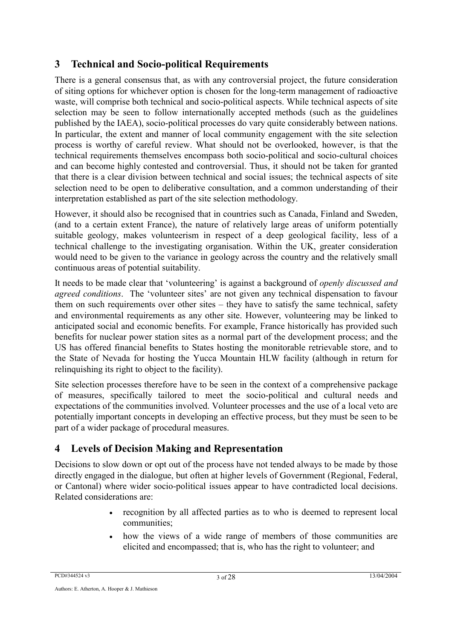# **3 Technical and Socio-political Requirements**

There is a general consensus that, as with any controversial project, the future consideration of siting options for whichever option is chosen for the long-term management of radioactive waste, will comprise both technical and socio-political aspects. While technical aspects of site selection may be seen to follow internationally accepted methods (such as the guidelines published by the IAEA), socio-political processes do vary quite considerably between nations. In particular, the extent and manner of local community engagement with the site selection process is worthy of careful review. What should not be overlooked, however, is that the technical requirements themselves encompass both socio-political and socio-cultural choices and can become highly contested and controversial. Thus, it should not be taken for granted that there is a clear division between technical and social issues; the technical aspects of site selection need to be open to deliberative consultation, and a common understanding of their interpretation established as part of the site selection methodology.

However, it should also be recognised that in countries such as Canada, Finland and Sweden, (and to a certain extent France), the nature of relatively large areas of uniform potentially suitable geology, makes volunteerism in respect of a deep geological facility, less of a technical challenge to the investigating organisation. Within the UK, greater consideration would need to be given to the variance in geology across the country and the relatively small continuous areas of potential suitability.

It needs to be made clear that 'volunteering' is against a background of *openly discussed and agreed conditions*. The 'volunteer sites' are not given any technical dispensation to favour them on such requirements over other sites – they have to satisfy the same technical, safety and environmental requirements as any other site. However, volunteering may be linked to anticipated social and economic benefits. For example, France historically has provided such benefits for nuclear power station sites as a normal part of the development process; and the US has offered financial benefits to States hosting the monitorable retrievable store, and to the State of Nevada for hosting the Yucca Mountain HLW facility (although in return for relinquishing its right to object to the facility).

Site selection processes therefore have to be seen in the context of a comprehensive package of measures, specifically tailored to meet the socio-political and cultural needs and expectations of the communities involved. Volunteer processes and the use of a local veto are potentially important concepts in developing an effective process, but they must be seen to be part of a wider package of procedural measures.

# **4 Levels of Decision Making and Representation**

Decisions to slow down or opt out of the process have not tended always to be made by those directly engaged in the dialogue, but often at higher levels of Government (Regional, Federal, or Cantonal) where wider socio-political issues appear to have contradicted local decisions. Related considerations are:

- recognition by all affected parties as to who is deemed to represent local communities;
- how the views of a wide range of members of those communities are elicited and encompassed; that is, who has the right to volunteer; and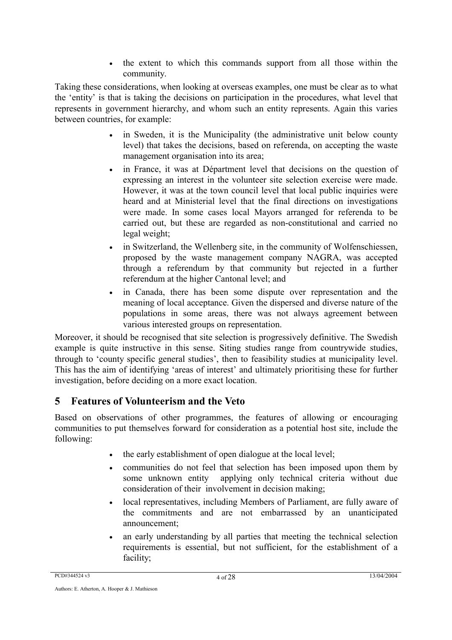• the extent to which this commands support from all those within the community.

Taking these considerations, when looking at overseas examples, one must be clear as to what the 'entity' is that is taking the decisions on participation in the procedures, what level that represents in government hierarchy, and whom such an entity represents. Again this varies between countries, for example:

- in Sweden, it is the Municipality (the administrative unit below county level) that takes the decisions, based on referenda, on accepting the waste management organisation into its area;
- in France, it was at Départment level that decisions on the question of expressing an interest in the volunteer site selection exercise were made. However, it was at the town council level that local public inquiries were heard and at Ministerial level that the final directions on investigations were made. In some cases local Mayors arranged for referenda to be carried out, but these are regarded as non-constitutional and carried no legal weight;
- in Switzerland, the Wellenberg site, in the community of Wolfenschiessen, proposed by the waste management company NAGRA, was accepted through a referendum by that community but rejected in a further referendum at the higher Cantonal level; and
- in Canada, there has been some dispute over representation and the meaning of local acceptance. Given the dispersed and diverse nature of the populations in some areas, there was not always agreement between various interested groups on representation.

Moreover, it should be recognised that site selection is progressively definitive. The Swedish example is quite instructive in this sense. Siting studies range from countrywide studies, through to 'county specific general studies', then to feasibility studies at municipality level. This has the aim of identifying 'areas of interest' and ultimately prioritising these for further investigation, before deciding on a more exact location.

# **5 Features of Volunteerism and the Veto**

Based on observations of other programmes, the features of allowing or encouraging communities to put themselves forward for consideration as a potential host site, include the following:

- the early establishment of open dialogue at the local level;
- communities do not feel that selection has been imposed upon them by some unknown entity applying only technical criteria without due consideration of their involvement in decision making;
- local representatives, including Members of Parliament, are fully aware of the commitments and are not embarrassed by an unanticipated announcement;
- an early understanding by all parties that meeting the technical selection requirements is essential, but not sufficient, for the establishment of a facility;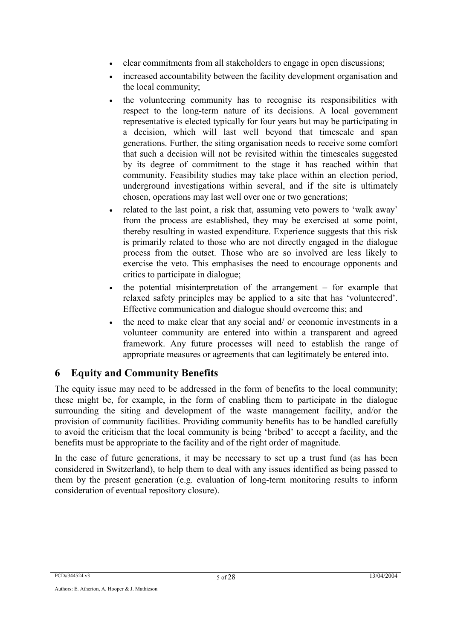- clear commitments from all stakeholders to engage in open discussions;
- increased accountability between the facility development organisation and the local community;
- the volunteering community has to recognise its responsibilities with respect to the long-term nature of its decisions. A local government representative is elected typically for four years but may be participating in a decision, which will last well beyond that timescale and span generations. Further, the siting organisation needs to receive some comfort that such a decision will not be revisited within the timescales suggested by its degree of commitment to the stage it has reached within that community. Feasibility studies may take place within an election period, underground investigations within several, and if the site is ultimately chosen, operations may last well over one or two generations;
- related to the last point, a risk that, assuming veto powers to 'walk away' from the process are established, they may be exercised at some point, thereby resulting in wasted expenditure. Experience suggests that this risk is primarily related to those who are not directly engaged in the dialogue process from the outset. Those who are so involved are less likely to exercise the veto. This emphasises the need to encourage opponents and critics to participate in dialogue;
- the potential misinterpretation of the arrangement  $-$  for example that relaxed safety principles may be applied to a site that has 'volunteered'. Effective communication and dialogue should overcome this; and
- the need to make clear that any social and/ or economic investments in a volunteer community are entered into within a transparent and agreed framework. Any future processes will need to establish the range of appropriate measures or agreements that can legitimately be entered into.

# **6 Equity and Community Benefits**

The equity issue may need to be addressed in the form of benefits to the local community; these might be, for example, in the form of enabling them to participate in the dialogue surrounding the siting and development of the waste management facility, and/or the provision of community facilities. Providing community benefits has to be handled carefully to avoid the criticism that the local community is being 'bribed' to accept a facility, and the benefits must be appropriate to the facility and of the right order of magnitude.

In the case of future generations, it may be necessary to set up a trust fund (as has been considered in Switzerland), to help them to deal with any issues identified as being passed to them by the present generation (e.g. evaluation of long-term monitoring results to inform consideration of eventual repository closure).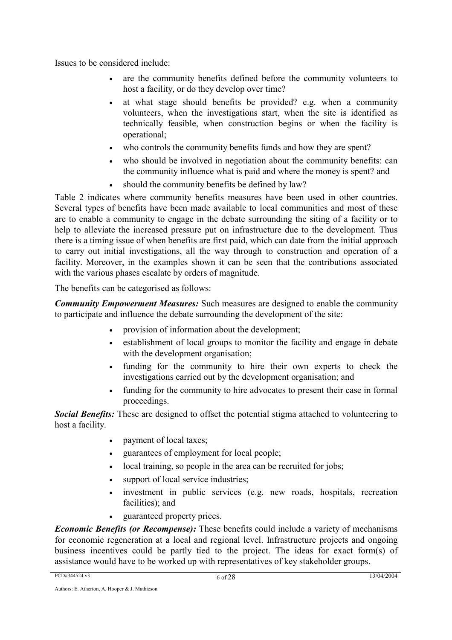Issues to be considered include:

- are the community benefits defined before the community volunteers to host a facility, or do they develop over time?
- at what stage should benefits be provided? e.g. when a community volunteers, when the investigations start, when the site is identified as technically feasible, when construction begins or when the facility is operational;
- who controls the community benefits funds and how they are spent?
- who should be involved in negotiation about the community benefits: can the community influence what is paid and where the money is spent? and
- should the community benefits be defined by law?

Table 2 indicates where community benefits measures have been used in other countries. Several types of benefits have been made available to local communities and most of these are to enable a community to engage in the debate surrounding the siting of a facility or to help to alleviate the increased pressure put on infrastructure due to the development. Thus there is a timing issue of when benefits are first paid, which can date from the initial approach to carry out initial investigations, all the way through to construction and operation of a facility. Moreover, in the examples shown it can be seen that the contributions associated with the various phases escalate by orders of magnitude.

The benefits can be categorised as follows:

*Community Empowerment Measures:* Such measures are designed to enable the community to participate and influence the debate surrounding the development of the site:

- provision of information about the development;
- establishment of local groups to monitor the facility and engage in debate with the development organisation;
- funding for the community to hire their own experts to check the investigations carried out by the development organisation; and
- funding for the community to hire advocates to present their case in formal proceedings.

*Social Benefits:* These are designed to offset the potential stigma attached to volunteering to host a facility.

- payment of local taxes:
- guarantees of employment for local people;
- local training, so people in the area can be recruited for jobs;
- support of local service industries;
- investment in public services (e.g. new roads, hospitals, recreation facilities); and
- guaranteed property prices.

*Economic Benefits (or Recompense):* These benefits could include a variety of mechanisms for economic regeneration at a local and regional level. Infrastructure projects and ongoing business incentives could be partly tied to the project. The ideas for exact form(s) of assistance would have to be worked up with representatives of key stakeholder groups.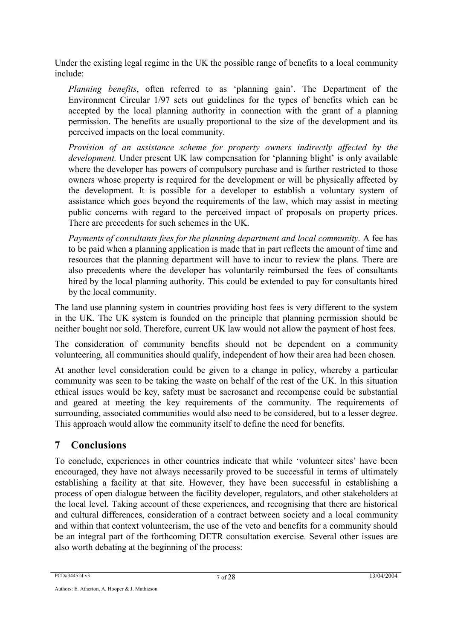Under the existing legal regime in the UK the possible range of benefits to a local community include:

*Planning benefits*, often referred to as 'planning gain'. The Department of the Environment Circular 1/97 sets out guidelines for the types of benefits which can be accepted by the local planning authority in connection with the grant of a planning permission. The benefits are usually proportional to the size of the development and its perceived impacts on the local community.

*Provision of an assistance scheme for property owners indirectly affected by the development.* Under present UK law compensation for 'planning blight' is only available where the developer has powers of compulsory purchase and is further restricted to those owners whose property is required for the development or will be physically affected by the development. It is possible for a developer to establish a voluntary system of assistance which goes beyond the requirements of the law, which may assist in meeting public concerns with regard to the perceived impact of proposals on property prices. There are precedents for such schemes in the UK.

*Payments of consultants fees for the planning department and local community.* A fee has to be paid when a planning application is made that in part reflects the amount of time and resources that the planning department will have to incur to review the plans. There are also precedents where the developer has voluntarily reimbursed the fees of consultants hired by the local planning authority. This could be extended to pay for consultants hired by the local community.

The land use planning system in countries providing host fees is very different to the system in the UK. The UK system is founded on the principle that planning permission should be neither bought nor sold. Therefore, current UK law would not allow the payment of host fees.

The consideration of community benefits should not be dependent on a community volunteering, all communities should qualify, independent of how their area had been chosen.

At another level consideration could be given to a change in policy, whereby a particular community was seen to be taking the waste on behalf of the rest of the UK. In this situation ethical issues would be key, safety must be sacrosanct and recompense could be substantial and geared at meeting the key requirements of the community. The requirements of surrounding, associated communities would also need to be considered, but to a lesser degree. This approach would allow the community itself to define the need for benefits.

# **7 Conclusions**

To conclude, experiences in other countries indicate that while 'volunteer sites' have been encouraged, they have not always necessarily proved to be successful in terms of ultimately establishing a facility at that site. However, they have been successful in establishing a process of open dialogue between the facility developer, regulators, and other stakeholders at the local level. Taking account of these experiences, and recognising that there are historical and cultural differences, consideration of a contract between society and a local community and within that context volunteerism, the use of the veto and benefits for a community should be an integral part of the forthcoming DETR consultation exercise. Several other issues are also worth debating at the beginning of the process: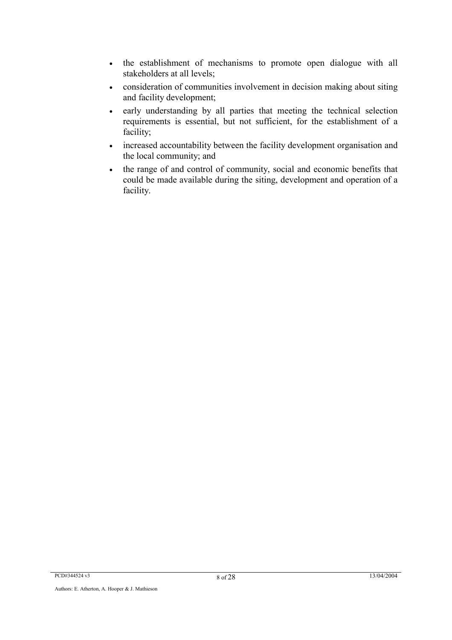- the establishment of mechanisms to promote open dialogue with all stakeholders at all levels;
- consideration of communities involvement in decision making about siting and facility development;
- early understanding by all parties that meeting the technical selection requirements is essential, but not sufficient, for the establishment of a facility;
- increased accountability between the facility development organisation and the local community; and
- the range of and control of community, social and economic benefits that could be made available during the siting, development and operation of a facility.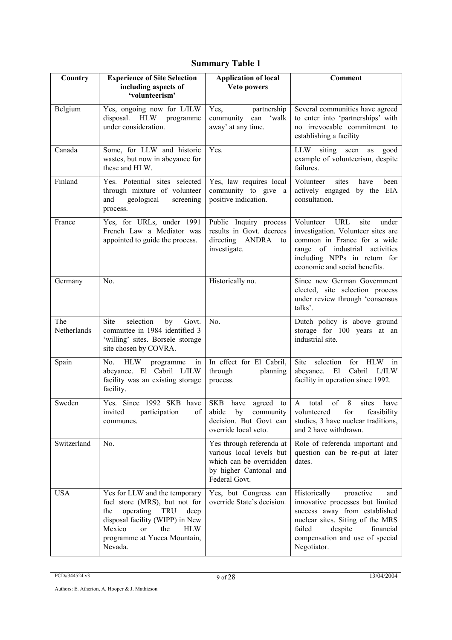# **Summary Table 1**

| Country            | <b>Experience of Site Selection</b><br>including aspects of                                                                                                                                                                | <b>Application of local</b><br>Veto powers                                                                                 | <b>Comment</b>                                                                                                                                                                                                                |
|--------------------|----------------------------------------------------------------------------------------------------------------------------------------------------------------------------------------------------------------------------|----------------------------------------------------------------------------------------------------------------------------|-------------------------------------------------------------------------------------------------------------------------------------------------------------------------------------------------------------------------------|
|                    | 'volunteerism'                                                                                                                                                                                                             |                                                                                                                            |                                                                                                                                                                                                                               |
| Belgium            | Yes, ongoing now for L/ILW<br>disposal. HLW programme<br>under consideration.                                                                                                                                              | Yes,<br>partnership<br>community<br>can<br>'walk<br>away' at any time.                                                     | Several communities have agreed<br>to enter into 'partnerships' with<br>no irrevocable commitment to<br>establishing a facility                                                                                               |
| Canada             | Some, for LLW and historic<br>wastes, but now in abeyance for<br>these and HLW.                                                                                                                                            | Yes.                                                                                                                       | LLW<br>siting<br>seen<br>as<br>good<br>example of volunteerism, despite<br>failures.                                                                                                                                          |
| Finland            | Yes. Potential sites selected<br>through mixture of volunteer<br>and<br>geological<br>screening<br>process.                                                                                                                | Yes, law requires local<br>community to give a<br>positive indication.                                                     | Volunteer<br>sites<br>have<br>been<br>actively engaged by the EIA<br>consultation.                                                                                                                                            |
| France             | Yes, for URLs, under 1991<br>French Law a Mediator was<br>appointed to guide the process.                                                                                                                                  | Public Inquiry process<br>results in Govt. decrees<br>directing ANDRA<br>to<br>investigate.                                | Volunteer<br>URL<br>site<br>under<br>investigation. Volunteer sites are<br>common in France for a wide<br>range of industrial activities<br>including NPPs in return for<br>economic and social benefits.                     |
| Germany            | No.                                                                                                                                                                                                                        | Historically no.                                                                                                           | Since new German Government<br>elected, site selection process<br>under review through 'consensus<br>talks'.                                                                                                                  |
| The<br>Netherlands | Site<br>selection<br>by<br>Govt.<br>committee in 1984 identified 3<br>'willing' sites. Borsele storage<br>site chosen by COVRA.                                                                                            | No.                                                                                                                        | Dutch policy is above ground<br>storage for 100 years at an<br>industrial site.                                                                                                                                               |
| Spain              | <b>HLW</b><br>No.<br>programme<br>in<br>abeyance. El Cabril L/ILW<br>facility was an existing storage<br>facility.                                                                                                         | In effect for El Cabril,<br>through<br>planning<br>process.                                                                | Site<br>for<br><b>HLW</b><br>selection<br>in<br>abeyance.<br>El<br>Cabril L/ILW<br>facility in operation since 1992.                                                                                                          |
| Sweden             | Yes. Since 1992 SKB have<br>communes.                                                                                                                                                                                      | SKB have agreed to<br>decision. But Govt can<br>override local veto.                                                       | $\,8\,$<br>A total<br>of<br>sites<br>have<br>invited participation of bidde by community volunteered for feasibility<br>studies, 3 have nuclear traditions,<br>and 2 have withdrawn.                                          |
| Switzerland        | No.                                                                                                                                                                                                                        | Yes through referenda at<br>various local levels but<br>which can be overridden<br>by higher Cantonal and<br>Federal Govt. | Role of referenda important and<br>question can be re-put at later<br>dates.                                                                                                                                                  |
| <b>USA</b>         | Yes for LLW and the temporary<br>fuel store (MRS), but not for<br>operating<br>the<br>TRU<br>deep<br>disposal facility (WIPP) in New<br>Mexico<br>$\alpha$<br>the<br><b>HLW</b><br>programme at Yucca Mountain,<br>Nevada. | Yes, but Congress can<br>override State's decision.                                                                        | Historically<br>proactive<br>and<br>innovative processes but limited<br>success away from established<br>nuclear sites. Siting of the MRS<br>failed<br>despite<br>financial<br>compensation and use of special<br>Negotiator. |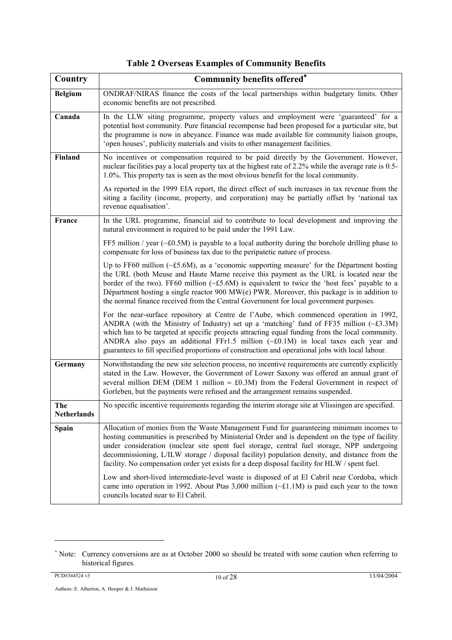| Country                   | <b>Community benefits offered*</b>                                                                                                                                                                                                                                                                                                                                                                                                                                                            |
|---------------------------|-----------------------------------------------------------------------------------------------------------------------------------------------------------------------------------------------------------------------------------------------------------------------------------------------------------------------------------------------------------------------------------------------------------------------------------------------------------------------------------------------|
| <b>Belgium</b>            | ONDRAF/NIRAS finance the costs of the local partnerships within budgetary limits. Other<br>economic benefits are not prescribed.                                                                                                                                                                                                                                                                                                                                                              |
| Canada                    | In the LLW siting programme, property values and employment were 'guaranteed' for a<br>potential host community. Pure financial recompense had been proposed for a particular site, but<br>the programme is now in abeyance. Finance was made available for community liaison groups,<br>'open houses', publicity materials and visits to other management facilities.                                                                                                                        |
| Finland                   | No incentives or compensation required to be paid directly by the Government. However,<br>nuclear facilities pay a local property tax at the highest rate of 2.2% while the average rate is 0.5-<br>1.0%. This property tax is seen as the most obvious benefit for the local community.                                                                                                                                                                                                      |
|                           | As reported in the 1999 EIA report, the direct effect of such increases in tax revenue from the<br>siting a facility (income, property, and corporation) may be partially offset by 'national tax<br>revenue equalisation'.                                                                                                                                                                                                                                                                   |
| <b>France</b>             | In the URL programme, financial aid to contribute to local development and improving the<br>natural environment is required to be paid under the 1991 Law.                                                                                                                                                                                                                                                                                                                                    |
|                           | FF5 million / year ( $\sim$ £0.5M) is payable to a local authority during the borehole drilling phase to<br>compensate for loss of business tax due to the peripatetic nature of process.                                                                                                                                                                                                                                                                                                     |
|                           | Up to FF60 million (~£5.6M), as a 'economic supporting measure' for the Départment hosting<br>the URL (both Meuse and Haute Marne receive this payment as the URL is located near the<br>border of the two). FF60 million $(\sim £5.6M)$ is equivalent to twice the 'host fees' payable to a<br>Départment hosting a single reactor 900 MW(e) PWR. Moreover, this package is in addition to<br>the normal finance received from the Central Government for local government purposes.         |
|                           | For the near-surface repository at Centre de l'Aube, which commenced operation in 1992,<br>ANDRA (with the Ministry of Industry) set up a 'matching' fund of FF35 million ( $\sim$ £3.3M)<br>which has to be targeted at specific projects attracting equal funding from the local community.<br>ANDRA also pays an additional FFr1.5 million $(\sim £0.1M)$ in local taxes each year and<br>guarantees to fill specified proportions of construction and operational jobs with local labour. |
| Germany                   | Notwithstanding the new site selection process, no incentive requirements are currently explicitly<br>stated in the Law. However, the Government of Lower Saxony was offered an annual grant of<br>several million DEM (DEM 1 million $\approx$ £0.3M) from the Federal Government in respect of<br>Gorleben, but the payments were refused and the arrangement remains suspended.                                                                                                            |
| The<br><b>Netherlands</b> | No specific incentive requirements regarding the interim storage site at Vlissingen are specified.                                                                                                                                                                                                                                                                                                                                                                                            |
| Spain                     | Allocation of monies from the Waste Management Fund for guaranteeing minimum incomes to<br>hosting communities is prescribed by Ministerial Order and is dependent on the type of facility<br>under consideration (nuclear site spent fuel storage, central fuel storage, NPP undergoing<br>decommissioning, L/ILW storage / disposal facility) population density, and distance from the<br>facility. No compensation order yet exists for a deep disposal facility for HLW / spent fuel.    |
|                           | Low and short-lived intermediate-level waste is disposed of at El Cabril near Cordoba, which<br>came into operation in 1992. About Ptas 3,000 million $(\sim 1.1M)$ is paid each year to the town<br>councils located near to El Cabril.                                                                                                                                                                                                                                                      |

| <b>Table 2 Overseas Examples of Community Benefits</b> |  |  |
|--------------------------------------------------------|--|--|
|                                                        |  |  |

 $\overline{a}$ 

<sup>∗</sup> Note: Currency conversions are as at October 2000 so should be treated with some caution when referring to historical figures.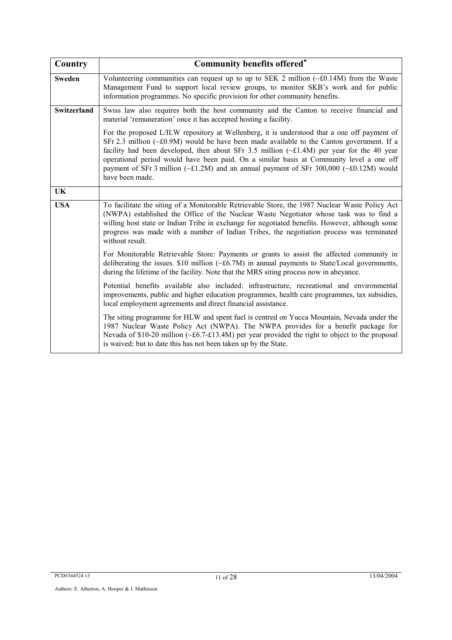| Country            | <b>Community benefits offered*</b>                                                                                                                                                                                                                                                                                                                                                                                                                                                                                        |
|--------------------|---------------------------------------------------------------------------------------------------------------------------------------------------------------------------------------------------------------------------------------------------------------------------------------------------------------------------------------------------------------------------------------------------------------------------------------------------------------------------------------------------------------------------|
| <b>Sweden</b>      | Volunteering communities can request up to up to SEK 2 million $(\sim 60.14M)$ from the Waste<br>Management Fund to support local review groups, to monitor SKB's work and for public<br>information programmes. No specific provision for other community benefits.                                                                                                                                                                                                                                                      |
| <b>Switzerland</b> | Swiss law also requires both the host community and the Canton to receive financial and<br>material 'remuneration' once it has accepted hosting a facility.                                                                                                                                                                                                                                                                                                                                                               |
|                    | For the proposed L/ILW repository at Wellenberg, it is understood that a one off payment of<br>SFr 2.3 million ( $\sim$ £0.9M) would be have been made available to the Canton government. If a<br>facility had been developed, then about SFr 3.5 million $(\sim £1.4M)$ per year for the 40 year<br>operational period would have been paid. On a similar basis at Community level a one off<br>payment of SFr 3 million ( $\sim$ £1.2M) and an annual payment of SFr 300,000 ( $\sim$ £0.12M) would<br>have been made. |
| <b>UK</b>          |                                                                                                                                                                                                                                                                                                                                                                                                                                                                                                                           |
| <b>USA</b>         | To facilitate the siting of a Monitorable Retrievable Store, the 1987 Nuclear Waste Policy Act<br>(NWPA) established the Office of the Nuclear Waste Negotiator whose task was to find a<br>willing host state or Indian Tribe in exchange for negotiated benefits. However, although some<br>progress was made with a number of Indian Tribes, the negotiation process was terminated<br>without result.                                                                                                                 |
|                    | For Monitorable Retrievable Store: Payments or grants to assist the affected community in<br>deliberating the issues. $$10$ million (~£6.7M) in annual payments to State/Local governments,<br>during the lifetime of the facility. Note that the MRS siting process now in abeyance.                                                                                                                                                                                                                                     |
|                    | Potential benefits available also included: infrastructure, recreational and environmental<br>improvements, public and higher education programmes, health care programmes, tax subsidies,<br>local employment agreements and direct financial assistance.                                                                                                                                                                                                                                                                |
|                    | The siting programme for HLW and spent fuel is centred on Yucca Mountain, Nevada under the<br>1987 Nuclear Waste Policy Act (NWPA). The NWPA provides for a benefit package for<br>Nevada of \$10-20 million (~£6.7-£13.4M) per year provided the right to object to the proposal<br>is waived; but to date this has not been taken up by the State.                                                                                                                                                                      |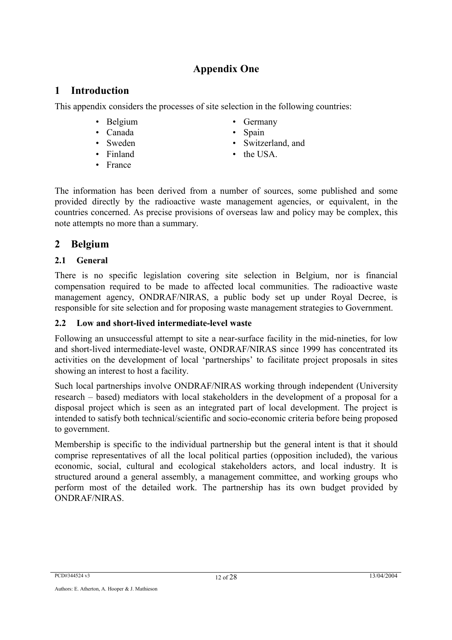# **Appendix One**

## **1 Introduction**

This appendix considers the processes of site selection in the following countries:

- 
- Canada Spain
- 
- 
- France
- Belgium Germany
	-
- Sweden Switzerland, and
- Finland the USA.

The information has been derived from a number of sources, some published and some provided directly by the radioactive waste management agencies, or equivalent, in the countries concerned. As precise provisions of overseas law and policy may be complex, this note attempts no more than a summary.

## **2 Belgium**

#### **2.1 General**

There is no specific legislation covering site selection in Belgium, nor is financial compensation required to be made to affected local communities. The radioactive waste management agency, ONDRAF/NIRAS, a public body set up under Royal Decree, is responsible for site selection and for proposing waste management strategies to Government.

#### **2.2 Low and short-lived intermediate-level waste**

Following an unsuccessful attempt to site a near-surface facility in the mid-nineties, for low and short-lived intermediate-level waste, ONDRAF/NIRAS since 1999 has concentrated its activities on the development of local 'partnerships' to facilitate project proposals in sites showing an interest to host a facility.

Such local partnerships involve ONDRAF/NIRAS working through independent (University research – based) mediators with local stakeholders in the development of a proposal for a disposal project which is seen as an integrated part of local development. The project is intended to satisfy both technical/scientific and socio-economic criteria before being proposed to government.

Membership is specific to the individual partnership but the general intent is that it should comprise representatives of all the local political parties (opposition included), the various economic, social, cultural and ecological stakeholders actors, and local industry. It is structured around a general assembly, a management committee, and working groups who perform most of the detailed work. The partnership has its own budget provided by ONDRAF/NIRAS.

PCD#344524 v3 13/04/2004 12 of 28 13/04/2004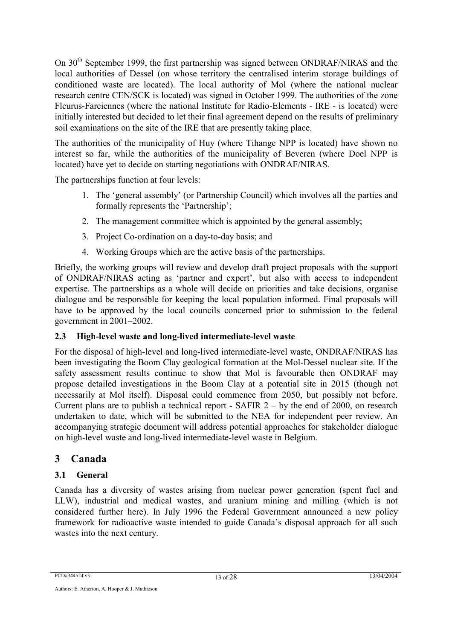On 30<sup>th</sup> September 1999, the first partnership was signed between ONDRAF/NIRAS and the local authorities of Dessel (on whose territory the centralised interim storage buildings of conditioned waste are located). The local authority of Mol (where the national nuclear research centre CEN/SCK is located) was signed in October 1999. The authorities of the zone Fleurus-Farciennes (where the national Institute for Radio-Elements - IRE - is located) were initially interested but decided to let their final agreement depend on the results of preliminary soil examinations on the site of the IRE that are presently taking place.

The authorities of the municipality of Huy (where Tihange NPP is located) have shown no interest so far, while the authorities of the municipality of Beveren (where Doel NPP is located) have yet to decide on starting negotiations with ONDRAF/NIRAS.

The partnerships function at four levels:

- 1. The 'general assembly' (or Partnership Council) which involves all the parties and formally represents the 'Partnership';
- 2. The management committee which is appointed by the general assembly;
- 3. Project Co-ordination on a day-to-day basis; and
- 4. Working Groups which are the active basis of the partnerships.

Briefly, the working groups will review and develop draft project proposals with the support of ONDRAF/NIRAS acting as 'partner and expert', but also with access to independent expertise. The partnerships as a whole will decide on priorities and take decisions, organise dialogue and be responsible for keeping the local population informed. Final proposals will have to be approved by the local councils concerned prior to submission to the federal government in 2001–2002.

## **2.3 High-level waste and long-lived intermediate-level waste**

For the disposal of high-level and long-lived intermediate-level waste, ONDRAF/NIRAS has been investigating the Boom Clay geological formation at the Mol-Dessel nuclear site. If the safety assessment results continue to show that Mol is favourable then ONDRAF may propose detailed investigations in the Boom Clay at a potential site in 2015 (though not necessarily at Mol itself). Disposal could commence from 2050, but possibly not before. Current plans are to publish a technical report - SAFIR 2 – by the end of 2000, on research undertaken to date, which will be submitted to the NEA for independent peer review. An accompanying strategic document will address potential approaches for stakeholder dialogue on high-level waste and long-lived intermediate-level waste in Belgium.

# **3 Canada**

# **3.1 General**

Canada has a diversity of wastes arising from nuclear power generation (spent fuel and LLW), industrial and medical wastes, and uranium mining and milling (which is not considered further here). In July 1996 the Federal Government announced a new policy framework for radioactive waste intended to guide Canada's disposal approach for all such wastes into the next century.

PCD#344524 v3 13 of 28 13 of 28 13 of 28 13/04/2004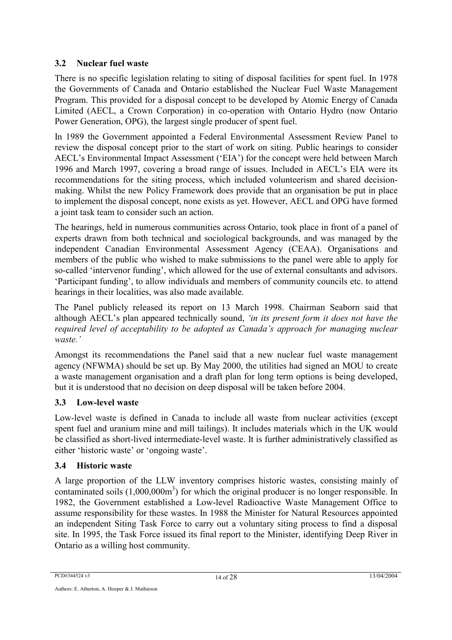#### **3.2 Nuclear fuel waste**

There is no specific legislation relating to siting of disposal facilities for spent fuel. In 1978 the Governments of Canada and Ontario established the Nuclear Fuel Waste Management Program. This provided for a disposal concept to be developed by Atomic Energy of Canada Limited (AECL, a Crown Corporation) in co-operation with Ontario Hydro (now Ontario Power Generation, OPG), the largest single producer of spent fuel.

In 1989 the Government appointed a Federal Environmental Assessment Review Panel to review the disposal concept prior to the start of work on siting. Public hearings to consider AECL's Environmental Impact Assessment ('EIA') for the concept were held between March 1996 and March 1997, covering a broad range of issues. Included in AECL's EIA were its recommendations for the siting process, which included volunteerism and shared decisionmaking. Whilst the new Policy Framework does provide that an organisation be put in place to implement the disposal concept, none exists as yet. However, AECL and OPG have formed a joint task team to consider such an action.

The hearings, held in numerous communities across Ontario, took place in front of a panel of experts drawn from both technical and sociological backgrounds, and was managed by the independent Canadian Environmental Assessment Agency (CEAA). Organisations and members of the public who wished to make submissions to the panel were able to apply for so-called 'intervenor funding', which allowed for the use of external consultants and advisors. 'Participant funding', to allow individuals and members of community councils etc. to attend hearings in their localities, was also made available.

The Panel publicly released its report on 13 March 1998. Chairman Seaborn said that although AECL's plan appeared technically sound, *'in its present form it does not have the required level of acceptability to be adopted as Canada's approach for managing nuclear waste.'*

Amongst its recommendations the Panel said that a new nuclear fuel waste management agency (NFWMA) should be set up. By May 2000, the utilities had signed an MOU to create a waste management organisation and a draft plan for long term options is being developed, but it is understood that no decision on deep disposal will be taken before 2004.

#### **3.3 Low-level waste**

Low-level waste is defined in Canada to include all waste from nuclear activities (except spent fuel and uranium mine and mill tailings). It includes materials which in the UK would be classified as short-lived intermediate-level waste. It is further administratively classified as either 'historic waste' or 'ongoing waste'.

#### **3.4 Historic waste**

A large proportion of the LLW inventory comprises historic wastes, consisting mainly of contaminated soils  $(1,000,000\text{m}^3)$  for which the original producer is no longer responsible. In 1982, the Government established a Low-level Radioactive Waste Management Office to assume responsibility for these wastes. In 1988 the Minister for Natural Resources appointed an independent Siting Task Force to carry out a voluntary siting process to find a disposal site. In 1995, the Task Force issued its final report to the Minister, identifying Deep River in Ontario as a willing host community.

PCD#344524 v3 13/04/2004 14 of 28 13/04/2004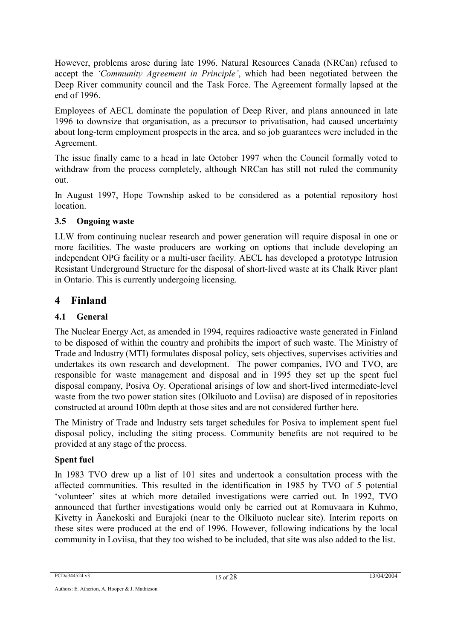However, problems arose during late 1996. Natural Resources Canada (NRCan) refused to accept the *'Community Agreement in Principle'*, which had been negotiated between the Deep River community council and the Task Force. The Agreement formally lapsed at the end of 1996.

Employees of AECL dominate the population of Deep River, and plans announced in late 1996 to downsize that organisation, as a precursor to privatisation, had caused uncertainty about long-term employment prospects in the area, and so job guarantees were included in the Agreement.

The issue finally came to a head in late October 1997 when the Council formally voted to withdraw from the process completely, although NRCan has still not ruled the community out.

In August 1997, Hope Township asked to be considered as a potential repository host **location** 

#### **3.5 Ongoing waste**

LLW from continuing nuclear research and power generation will require disposal in one or more facilities. The waste producers are working on options that include developing an independent OPG facility or a multi-user facility. AECL has developed a prototype Intrusion Resistant Underground Structure for the disposal of short-lived waste at its Chalk River plant in Ontario. This is currently undergoing licensing.

## **4 Finland**

## **4.1 General**

The Nuclear Energy Act, as amended in 1994, requires radioactive waste generated in Finland to be disposed of within the country and prohibits the import of such waste. The Ministry of Trade and Industry (MTI) formulates disposal policy, sets objectives, supervises activities and undertakes its own research and development. The power companies, IVO and TVO, are responsible for waste management and disposal and in 1995 they set up the spent fuel disposal company, Posiva Oy. Operational arisings of low and short-lived intermediate-level waste from the two power station sites (Olkiluoto and Loviisa) are disposed of in repositories constructed at around 100m depth at those sites and are not considered further here.

The Ministry of Trade and Industry sets target schedules for Posiva to implement spent fuel disposal policy, including the siting process. Community benefits are not required to be provided at any stage of the process.

#### **Spent fuel**

In 1983 TVO drew up a list of 101 sites and undertook a consultation process with the affected communities. This resulted in the identification in 1985 by TVO of 5 potential 'volunteer' sites at which more detailed investigations were carried out. In 1992, TVO announced that further investigations would only be carried out at Romuvaara in Kuhmo, Kivetty in Äanekoski and Eurajoki (near to the Olkiluoto nuclear site). Interim reports on these sites were produced at the end of 1996. However, following indications by the local community in Loviisa, that they too wished to be included, that site was also added to the list.

PCD#344524 v3 15 of 28 13/04/2004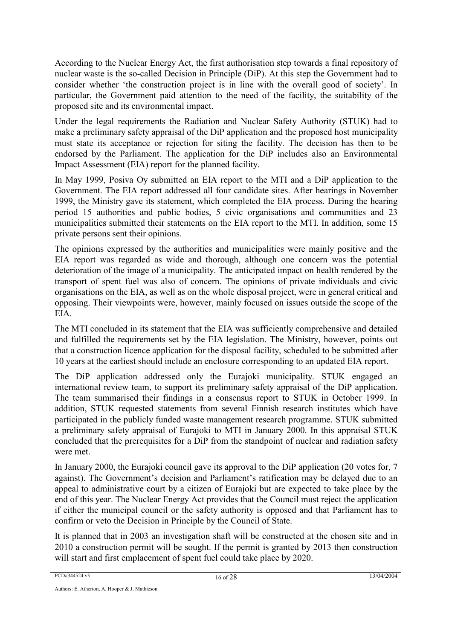According to the Nuclear Energy Act, the first authorisation step towards a final repository of nuclear waste is the so-called Decision in Principle (DiP). At this step the Government had to consider whether 'the construction project is in line with the overall good of society'. In particular, the Government paid attention to the need of the facility, the suitability of the proposed site and its environmental impact.

Under the legal requirements the Radiation and Nuclear Safety Authority (STUK) had to make a preliminary safety appraisal of the DiP application and the proposed host municipality must state its acceptance or rejection for siting the facility. The decision has then to be endorsed by the Parliament. The application for the DiP includes also an Environmental Impact Assessment (EIA) report for the planned facility.

In May 1999, Posiva Oy submitted an EIA report to the MTI and a DiP application to the Government. The EIA report addressed all four candidate sites. After hearings in November 1999, the Ministry gave its statement, which completed the EIA process. During the hearing period 15 authorities and public bodies, 5 civic organisations and communities and 23 municipalities submitted their statements on the EIA report to the MTI. In addition, some 15 private persons sent their opinions.

The opinions expressed by the authorities and municipalities were mainly positive and the EIA report was regarded as wide and thorough, although one concern was the potential deterioration of the image of a municipality. The anticipated impact on health rendered by the transport of spent fuel was also of concern. The opinions of private individuals and civic organisations on the EIA, as well as on the whole disposal project, were in general critical and opposing. Their viewpoints were, however, mainly focused on issues outside the scope of the EIA.

The MTI concluded in its statement that the EIA was sufficiently comprehensive and detailed and fulfilled the requirements set by the EIA legislation. The Ministry, however, points out that a construction licence application for the disposal facility, scheduled to be submitted after 10 years at the earliest should include an enclosure corresponding to an updated EIA report.

The DiP application addressed only the Eurajoki municipality. STUK engaged an international review team, to support its preliminary safety appraisal of the DiP application. The team summarised their findings in a consensus report to STUK in October 1999. In addition, STUK requested statements from several Finnish research institutes which have participated in the publicly funded waste management research programme. STUK submitted a preliminary safety appraisal of Eurajoki to MTI in January 2000. In this appraisal STUK concluded that the prerequisites for a DiP from the standpoint of nuclear and radiation safety were met.

In January 2000, the Eurajoki council gave its approval to the DiP application (20 votes for, 7 against). The Government's decision and Parliament's ratification may be delayed due to an appeal to administrative court by a citizen of Eurajoki but are expected to take place by the end of this year. The Nuclear Energy Act provides that the Council must reject the application if either the municipal council or the safety authority is opposed and that Parliament has to confirm or veto the Decision in Principle by the Council of State.

It is planned that in 2003 an investigation shaft will be constructed at the chosen site and in 2010 a construction permit will be sought. If the permit is granted by 2013 then construction will start and first emplacement of spent fuel could take place by 2020.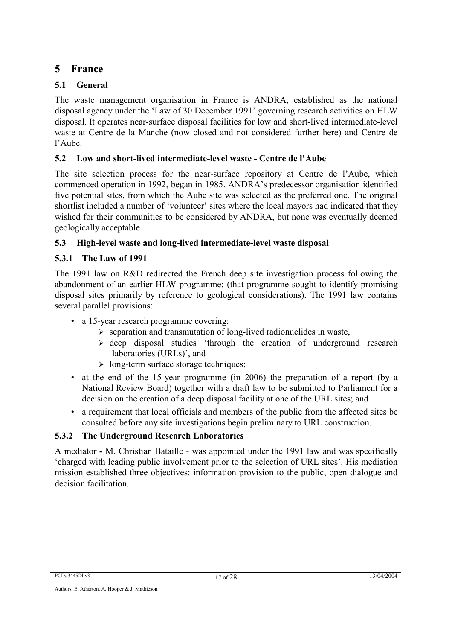# **5 France**

## **5.1 General**

The waste management organisation in France is ANDRA, established as the national disposal agency under the 'Law of 30 December 1991' governing research activities on HLW disposal. It operates near-surface disposal facilities for low and short-lived intermediate-level waste at Centre de la Manche (now closed and not considered further here) and Centre de l'Aube.

## **5.2 Low and short-lived intermediate-level waste - Centre de l'Aube**

The site selection process for the near-surface repository at Centre de l'Aube, which commenced operation in 1992, began in 1985. ANDRA's predecessor organisation identified five potential sites, from which the Aube site was selected as the preferred one. The original shortlist included a number of 'volunteer' sites where the local mayors had indicated that they wished for their communities to be considered by ANDRA, but none was eventually deemed geologically acceptable.

## **5.3 High-level waste and long-lived intermediate-level waste disposal**

## **5.3.1 The Law of 1991**

The 1991 law on R&D redirected the French deep site investigation process following the abandonment of an earlier HLW programme; (that programme sought to identify promising disposal sites primarily by reference to geological considerations). The 1991 law contains several parallel provisions:

- a 15-year research programme covering:
	- $\triangleright$  separation and transmutation of long-lived radionuclides in waste,
	- $\geq$  deep disposal studies 'through the creation of underground research laboratories (URLs)', and
	- $\geq$  long-term surface storage techniques;
- at the end of the 15-year programme (in 2006) the preparation of a report (by a National Review Board) together with a draft law to be submitted to Parliament for a decision on the creation of a deep disposal facility at one of the URL sites; and
- a requirement that local officials and members of the public from the affected sites be consulted before any site investigations begin preliminary to URL construction.

## **5.3.2 The Underground Research Laboratories**

A mediator **-** M. Christian Bataille - was appointed under the 1991 law and was specifically 'charged with leading public involvement prior to the selection of URL sites'. His mediation mission established three objectives: information provision to the public, open dialogue and decision facilitation.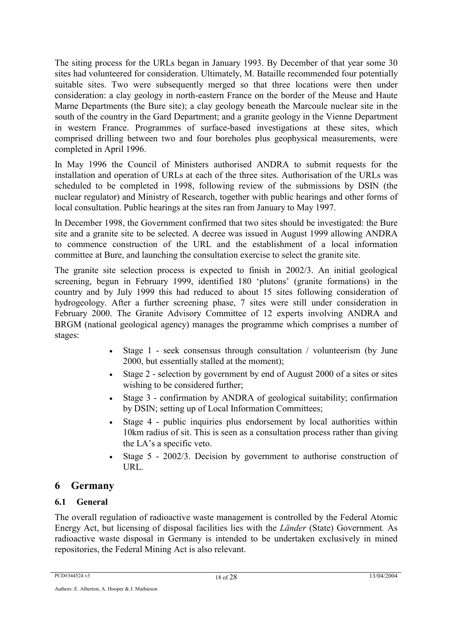The siting process for the URLs began in January 1993. By December of that year some 30 sites had volunteered for consideration. Ultimately, M. Bataille recommended four potentially suitable sites. Two were subsequently merged so that three locations were then under consideration: a clay geology in north-eastern France on the border of the Meuse and Haute Marne Departments (the Bure site); a clay geology beneath the Marcoule nuclear site in the south of the country in the Gard Department; and a granite geology in the Vienne Department in western France. Programmes of surface-based investigations at these sites, which comprised drilling between two and four boreholes plus geophysical measurements, were completed in April 1996.

In May 1996 the Council of Ministers authorised ANDRA to submit requests for the installation and operation of URLs at each of the three sites. Authorisation of the URLs was scheduled to be completed in 1998, following review of the submissions by DSIN (the nuclear regulator) and Ministry of Research, together with public hearings and other forms of local consultation. Public hearings at the sites ran from January to May 1997.

In December 1998, the Government confirmed that two sites should be investigated: the Bure site and a granite site to be selected. A decree was issued in August 1999 allowing ANDRA to commence construction of the URL and the establishment of a local information committee at Bure, and launching the consultation exercise to select the granite site.

The granite site selection process is expected to finish in 2002/3. An initial geological screening, begun in February 1999, identified 180 'plutons' (granite formations) in the country and by July 1999 this had reduced to about 15 sites following consideration of hydrogeology. After a further screening phase, 7 sites were still under consideration in February 2000. The Granite Advisory Committee of 12 experts involving ANDRA and BRGM (national geological agency) manages the programme which comprises a number of stages:

- Stage 1 seek consensus through consultation / volunteerism (by June 2000, but essentially stalled at the moment);
- Stage 2 selection by government by end of August 2000 of a sites or sites wishing to be considered further;
- Stage 3 confirmation by ANDRA of geological suitability; confirmation by DSIN; setting up of Local Information Committees;
- Stage 4 public inquiries plus endorsement by local authorities within 10km radius of sit. This is seen as a consultation process rather than giving the LA's a specific veto.
- Stage 5 2002/3. Decision by government to authorise construction of URL.

# **6 Germany**

## **6.1 General**

The overall regulation of radioactive waste management is controlled by the Federal Atomic Energy Act, but licensing of disposal facilities lies with the *Länder* (State) Government*.* As radioactive waste disposal in Germany is intended to be undertaken exclusively in mined repositories, the Federal Mining Act is also relevant.

PCD#344524 v3 13/04/2004 18 of 28 13/04/2004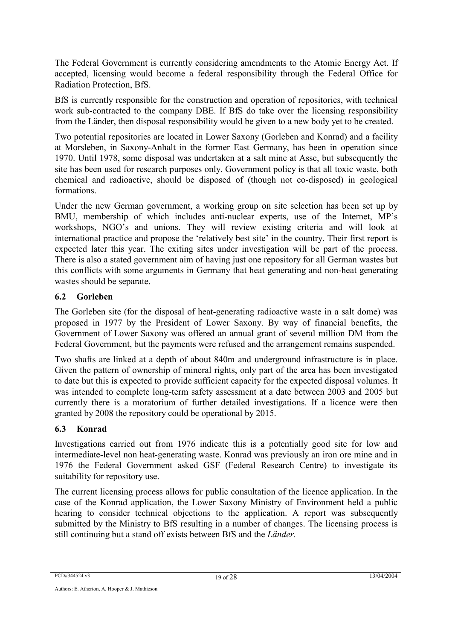The Federal Government is currently considering amendments to the Atomic Energy Act. If accepted, licensing would become a federal responsibility through the Federal Office for Radiation Protection, BfS.

BfS is currently responsible for the construction and operation of repositories, with technical work sub-contracted to the company DBE. If BfS do take over the licensing responsibility from the Länder, then disposal responsibility would be given to a new body yet to be created.

Two potential repositories are located in Lower Saxony (Gorleben and Konrad) and a facility at Morsleben, in Saxony-Anhalt in the former East Germany, has been in operation since 1970. Until 1978, some disposal was undertaken at a salt mine at Asse, but subsequently the site has been used for research purposes only. Government policy is that all toxic waste, both chemical and radioactive, should be disposed of (though not co-disposed) in geological formations.

Under the new German government, a working group on site selection has been set up by BMU, membership of which includes anti-nuclear experts, use of the Internet, MP's workshops, NGO's and unions. They will review existing criteria and will look at international practice and propose the 'relatively best site' in the country. Their first report is expected later this year. The exiting sites under investigation will be part of the process. There is also a stated government aim of having just one repository for all German wastes but this conflicts with some arguments in Germany that heat generating and non-heat generating wastes should be separate.

#### **6.2 Gorleben**

The Gorleben site (for the disposal of heat-generating radioactive waste in a salt dome) was proposed in 1977 by the President of Lower Saxony. By way of financial benefits, the Government of Lower Saxony was offered an annual grant of several million DM from the Federal Government, but the payments were refused and the arrangement remains suspended.

Two shafts are linked at a depth of about 840m and underground infrastructure is in place. Given the pattern of ownership of mineral rights, only part of the area has been investigated to date but this is expected to provide sufficient capacity for the expected disposal volumes. It was intended to complete long-term safety assessment at a date between 2003 and 2005 but currently there is a moratorium of further detailed investigations. If a licence were then granted by 2008 the repository could be operational by 2015.

#### **6.3 Konrad**

Investigations carried out from 1976 indicate this is a potentially good site for low and intermediate-level non heat-generating waste. Konrad was previously an iron ore mine and in 1976 the Federal Government asked GSF (Federal Research Centre) to investigate its suitability for repository use.

The current licensing process allows for public consultation of the licence application. In the case of the Konrad application, the Lower Saxony Ministry of Environment held a public hearing to consider technical objections to the application. A report was subsequently submitted by the Ministry to BfS resulting in a number of changes. The licensing process is still continuing but a stand off exists between BfS and the *Länder.*

PCD#344524 v3 13/04/2004 19 of 28 13/04/2004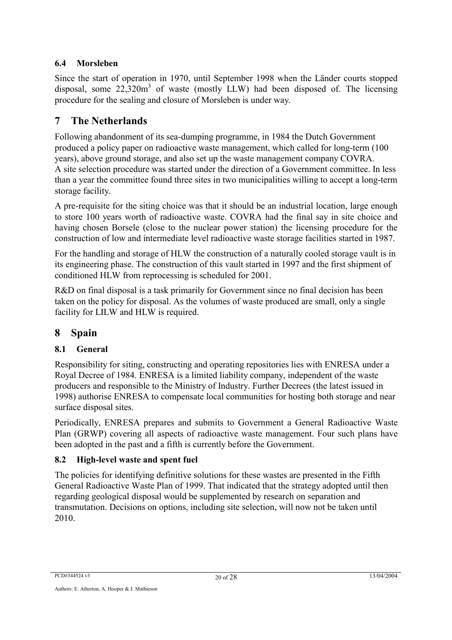#### **6.4 Morsleben**

Since the start of operation in 1970, until September 1998 when the Länder courts stopped disposal, some  $22,320m^3$  of waste (mostly LLW) had been disposed of. The licensing procedure for the sealing and closure of Morsleben is under way.

# **7 The Netherlands**

Following abandonment of its sea-dumping programme, in 1984 the Dutch Government produced a policy paper on radioactive waste management, which called for long-term (100 years), above ground storage, and also set up the waste management company COVRA. A site selection procedure was started under the direction of a Government committee. In less than a year the committee found three sites in two municipalities willing to accept a long-term storage facility.

A pre-requisite for the siting choice was that it should be an industrial location, large enough to store 100 years worth of radioactive waste. COVRA had the final say in site choice and having chosen Borsele (close to the nuclear power station) the licensing procedure for the construction of low and intermediate level radioactive waste storage facilities started in 1987.

For the handling and storage of HLW the construction of a naturally cooled storage vault is in its engineering phase. The construction of this vault started in 1997 and the first shipment of conditioned HLW from reprocessing is scheduled for 2001.

R&D on final disposal is a task primarily for Government since no final decision has been taken on the policy for disposal. As the volumes of waste produced are small, only a single facility for LILW and HLW is required.

# **8 Spain**

## **8.1 General**

Responsibility for siting, constructing and operating repositories lies with ENRESA under a Royal Decree of 1984. ENRESA is a limited liability company, independent of the waste producers and responsible to the Ministry of Industry. Further Decrees (the latest issued in 1998) authorise ENRESA to compensate local communities for hosting both storage and near surface disposal sites.

Periodically, ENRESA prepares and submits to Government a General Radioactive Waste Plan (GRWP) covering all aspects of radioactive waste management. Four such plans have been adopted in the past and a fifth is currently before the Government.

## **8.2 High-level waste and spent fuel**

The policies for identifying definitive solutions for these wastes are presented in the Fifth General Radioactive Waste Plan of 1999. That indicated that the strategy adopted until then regarding geological disposal would be supplemented by research on separation and transmutation. Decisions on options, including site selection, will now not be taken until 2010.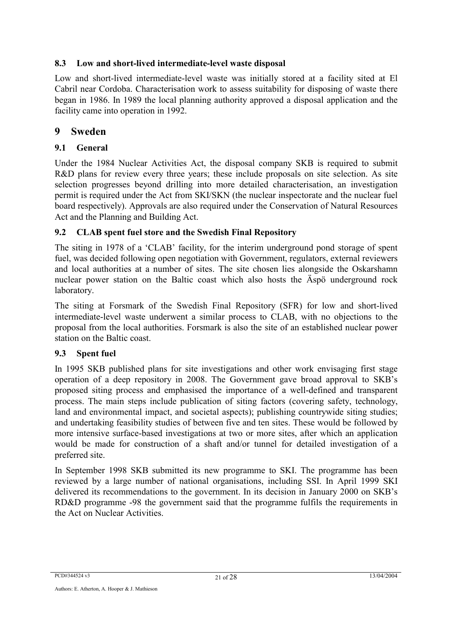#### **8.3 Low and short-lived intermediate-level waste disposal**

Low and short-lived intermediate-level waste was initially stored at a facility sited at El Cabril near Cordoba. Characterisation work to assess suitability for disposing of waste there began in 1986. In 1989 the local planning authority approved a disposal application and the facility came into operation in 1992.

#### **9 Sweden**

#### **9.1 General**

Under the 1984 Nuclear Activities Act, the disposal company SKB is required to submit R&D plans for review every three years; these include proposals on site selection. As site selection progresses beyond drilling into more detailed characterisation, an investigation permit is required under the Act from SKI/SKN (the nuclear inspectorate and the nuclear fuel board respectively). Approvals are also required under the Conservation of Natural Resources Act and the Planning and Building Act.

#### **9.2 CLAB spent fuel store and the Swedish Final Repository**

The siting in 1978 of a 'CLAB' facility, for the interim underground pond storage of spent fuel, was decided following open negotiation with Government, regulators, external reviewers and local authorities at a number of sites. The site chosen lies alongside the Oskarshamn nuclear power station on the Baltic coast which also hosts the Äspö underground rock laboratory.

The siting at Forsmark of the Swedish Final Repository (SFR) for low and short-lived intermediate-level waste underwent a similar process to CLAB, with no objections to the proposal from the local authorities. Forsmark is also the site of an established nuclear power station on the Baltic coast.

#### **9.3 Spent fuel**

In 1995 SKB published plans for site investigations and other work envisaging first stage operation of a deep repository in 2008. The Government gave broad approval to SKB's proposed siting process and emphasised the importance of a well-defined and transparent process. The main steps include publication of siting factors (covering safety, technology, land and environmental impact, and societal aspects); publishing countrywide siting studies; and undertaking feasibility studies of between five and ten sites. These would be followed by more intensive surface-based investigations at two or more sites, after which an application would be made for construction of a shaft and/or tunnel for detailed investigation of a preferred site.

In September 1998 SKB submitted its new programme to SKI. The programme has been reviewed by a large number of national organisations, including SSI. In April 1999 SKI delivered its recommendations to the government. In its decision in January 2000 on SKB's RD&D programme -98 the government said that the programme fulfils the requirements in the Act on Nuclear Activities.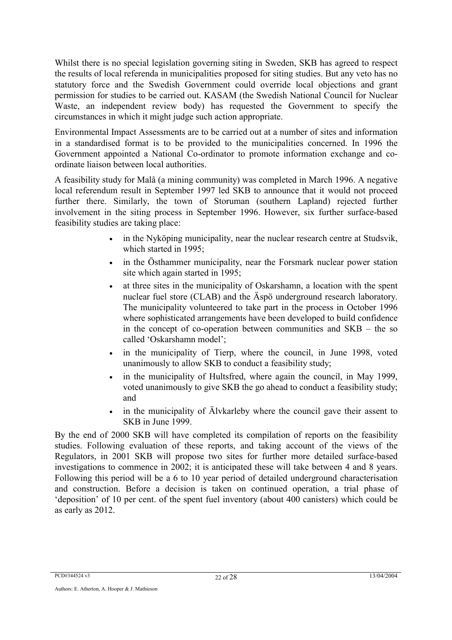Whilst there is no special legislation governing siting in Sweden, SKB has agreed to respect the results of local referenda in municipalities proposed for siting studies. But any veto has no statutory force and the Swedish Government could override local objections and grant permission for studies to be carried out. KASAM (the Swedish National Council for Nuclear Waste, an independent review body) has requested the Government to specify the circumstances in which it might judge such action appropriate.

Environmental Impact Assessments are to be carried out at a number of sites and information in a standardised format is to be provided to the municipalities concerned. In 1996 the Government appointed a National Co-ordinator to promote information exchange and coordinate liaison between local authorities.

A feasibility study for Malå (a mining community) was completed in March 1996. A negative local referendum result in September 1997 led SKB to announce that it would not proceed further there. Similarly, the town of Storuman (southern Lapland) rejected further involvement in the siting process in September 1996. However, six further surface-based feasibility studies are taking place:

- in the Nyköping municipality, near the nuclear research centre at Studsvik, which started in 1995;
- in the Östhammer municipality, near the Forsmark nuclear power station site which again started in 1995;
- at three sites in the municipality of Oskarshamn, a location with the spent nuclear fuel store (CLAB) and the Äspö underground research laboratory. The municipality volunteered to take part in the process in October 1996 where sophisticated arrangements have been developed to build confidence in the concept of co-operation between communities and SKB – the so called 'Oskarshamn model';
- in the municipality of Tierp, where the council, in June 1998, voted unanimously to allow SKB to conduct a feasibility study;
- in the municipality of Hultsfred, where again the council, in May 1999, voted unanimously to give SKB the go ahead to conduct a feasibility study; and
- in the municipality of Alvkarleby where the council gave their assent to SKB in June 1999.

By the end of 2000 SKB will have completed its compilation of reports on the feasibility studies. Following evaluation of these reports, and taking account of the views of the Regulators, in 2001 SKB will propose two sites for further more detailed surface-based investigations to commence in 2002; it is anticipated these will take between 4 and 8 years. Following this period will be a 6 to 10 year period of detailed underground characterisation and construction. Before a decision is taken on continued operation, a trial phase of 'deposition' of 10 per cent. of the spent fuel inventory (about 400 canisters) which could be as early as 2012.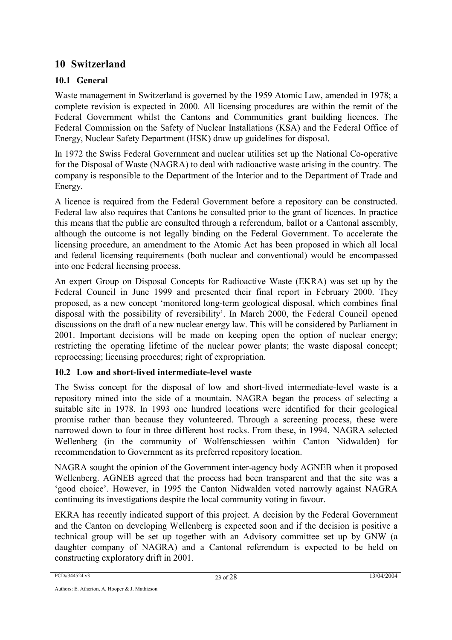## **10 Switzerland**

#### **10.1 General**

Waste management in Switzerland is governed by the 1959 Atomic Law, amended in 1978; a complete revision is expected in 2000. All licensing procedures are within the remit of the Federal Government whilst the Cantons and Communities grant building licences. The Federal Commission on the Safety of Nuclear Installations (KSA) and the Federal Office of Energy, Nuclear Safety Department (HSK) draw up guidelines for disposal.

In 1972 the Swiss Federal Government and nuclear utilities set up the National Co-operative for the Disposal of Waste (NAGRA) to deal with radioactive waste arising in the country. The company is responsible to the Department of the Interior and to the Department of Trade and Energy.

A licence is required from the Federal Government before a repository can be constructed. Federal law also requires that Cantons be consulted prior to the grant of licences. In practice this means that the public are consulted through a referendum, ballot or a Cantonal assembly, although the outcome is not legally binding on the Federal Government. To accelerate the licensing procedure, an amendment to the Atomic Act has been proposed in which all local and federal licensing requirements (both nuclear and conventional) would be encompassed into one Federal licensing process.

An expert Group on Disposal Concepts for Radioactive Waste (EKRA) was set up by the Federal Council in June 1999 and presented their final report in February 2000. They proposed, as a new concept 'monitored long-term geological disposal, which combines final disposal with the possibility of reversibility'. In March 2000, the Federal Council opened discussions on the draft of a new nuclear energy law. This will be considered by Parliament in 2001. Important decisions will be made on keeping open the option of nuclear energy; restricting the operating lifetime of the nuclear power plants; the waste disposal concept; reprocessing; licensing procedures; right of expropriation.

#### **10.2 Low and short-lived intermediate-level waste**

The Swiss concept for the disposal of low and short-lived intermediate-level waste is a repository mined into the side of a mountain. NAGRA began the process of selecting a suitable site in 1978. In 1993 one hundred locations were identified for their geological promise rather than because they volunteered. Through a screening process, these were narrowed down to four in three different host rocks. From these, in 1994, NAGRA selected Wellenberg (in the community of Wolfenschiessen within Canton Nidwalden) for recommendation to Government as its preferred repository location.

NAGRA sought the opinion of the Government inter-agency body AGNEB when it proposed Wellenberg. AGNEB agreed that the process had been transparent and that the site was a 'good choice'. However, in 1995 the Canton Nidwalden voted narrowly against NAGRA continuing its investigations despite the local community voting in favour.

EKRA has recently indicated support of this project. A decision by the Federal Government and the Canton on developing Wellenberg is expected soon and if the decision is positive a technical group will be set up together with an Advisory committee set up by GNW (a daughter company of NAGRA) and a Cantonal referendum is expected to be held on constructing exploratory drift in 2001.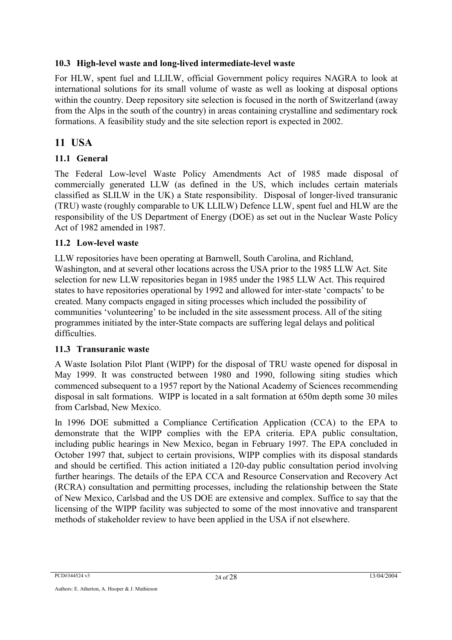#### **10.3 High-level waste and long-lived intermediate-level waste**

For HLW, spent fuel and LLILW, official Government policy requires NAGRA to look at international solutions for its small volume of waste as well as looking at disposal options within the country. Deep repository site selection is focused in the north of Switzerland (away from the Alps in the south of the country) in areas containing crystalline and sedimentary rock formations. A feasibility study and the site selection report is expected in 2002.

# **11 USA**

#### **11.1 General**

The Federal Low-level Waste Policy Amendments Act of 1985 made disposal of commercially generated LLW (as defined in the US, which includes certain materials classified as SLILW in the UK) a State responsibility. Disposal of longer-lived transuranic (TRU) waste (roughly comparable to UK LLILW) Defence LLW, spent fuel and HLW are the responsibility of the US Department of Energy (DOE) as set out in the Nuclear Waste Policy Act of 1982 amended in 1987.

#### **11.2 Low-level waste**

LLW repositories have been operating at Barnwell, South Carolina, and Richland, Washington, and at several other locations across the USA prior to the 1985 LLW Act. Site selection for new LLW repositories began in 1985 under the 1985 LLW Act. This required states to have repositories operational by 1992 and allowed for inter-state 'compacts' to be created. Many compacts engaged in siting processes which included the possibility of communities 'volunteering' to be included in the site assessment process. All of the siting programmes initiated by the inter-State compacts are suffering legal delays and political difficulties.

#### **11.3 Transuranic waste**

A Waste Isolation Pilot Plant (WIPP) for the disposal of TRU waste opened for disposal in May 1999. It was constructed between 1980 and 1990, following siting studies which commenced subsequent to a 1957 report by the National Academy of Sciences recommending disposal in salt formations. WIPP is located in a salt formation at 650m depth some 30 miles from Carlsbad, New Mexico.

In 1996 DOE submitted a Compliance Certification Application (CCA) to the EPA to demonstrate that the WIPP complies with the EPA criteria. EPA public consultation, including public hearings in New Mexico, began in February 1997. The EPA concluded in October 1997 that, subject to certain provisions, WIPP complies with its disposal standards and should be certified. This action initiated a 120-day public consultation period involving further hearings. The details of the EPA CCA and Resource Conservation and Recovery Act (RCRA) consultation and permitting processes, including the relationship between the State of New Mexico, Carlsbad and the US DOE are extensive and complex. Suffice to say that the licensing of the WIPP facility was subjected to some of the most innovative and transparent methods of stakeholder review to have been applied in the USA if not elsewhere.